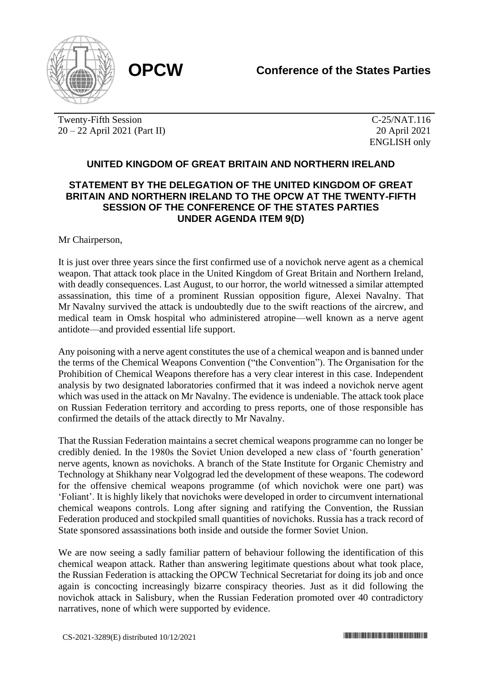

Twenty-Fifth Session 20 – 22 April 2021 (Part II)

C-25/NAT.116 20 April 2021 ENGLISH only

## **UNITED KINGDOM OF GREAT BRITAIN AND NORTHERN IRELAND**

## **STATEMENT BY THE DELEGATION OF THE UNITED KINGDOM OF GREAT BRITAIN AND NORTHERN IRELAND TO THE OPCW AT THE TWENTY-FIFTH SESSION OF THE CONFERENCE OF THE STATES PARTIES UNDER AGENDA ITEM 9(D)**

## Mr Chairperson,

It is just over three years since the first confirmed use of a novichok nerve agent as a chemical weapon. That attack took place in the United Kingdom of Great Britain and Northern Ireland, with deadly consequences. Last August, to our horror, the world witnessed a similar attempted assassination, this time of a prominent Russian opposition figure, Alexei Navalny. That Mr Navalny survived the attack is undoubtedly due to the swift reactions of the aircrew, and medical team in Omsk hospital who administered atropine—well known as a nerve agent antidote—and provided essential life support.

Any poisoning with a nerve agent constitutes the use of a chemical weapon and is banned under the terms of the Chemical Weapons Convention ("the Convention"). The Organisation for the Prohibition of Chemical Weapons therefore has a very clear interest in this case. Independent analysis by two designated laboratories confirmed that it was indeed a novichok nerve agent which was used in the attack on Mr Navalny. The evidence is undeniable. The attack took place on Russian Federation territory and according to press reports, one of those responsible has confirmed the details of the attack directly to Mr Navalny.

That the Russian Federation maintains a secret chemical weapons programme can no longer be credibly denied. In the 1980s the Soviet Union developed a new class of 'fourth generation' nerve agents, known as novichoks. A branch of the State Institute for Organic Chemistry and Technology at Shikhany near Volgograd led the development of these weapons. The codeword for the offensive chemical weapons programme (of which novichok were one part) was 'Foliant'. It is highly likely that novichoks were developed in order to circumvent international chemical weapons controls. Long after signing and ratifying the Convention, the Russian Federation produced and stockpiled small quantities of novichoks. Russia has a track record of State sponsored assassinations both inside and outside the former Soviet Union.

We are now seeing a sadly familiar pattern of behaviour following the identification of this chemical weapon attack. Rather than answering legitimate questions about what took place, the Russian Federation is attacking the OPCW Technical Secretariat for doing its job and once again is concocting increasingly bizarre conspiracy theories. Just as it did following the novichok attack in Salisbury, when the Russian Federation promoted over 40 contradictory narratives, none of which were supported by evidence.